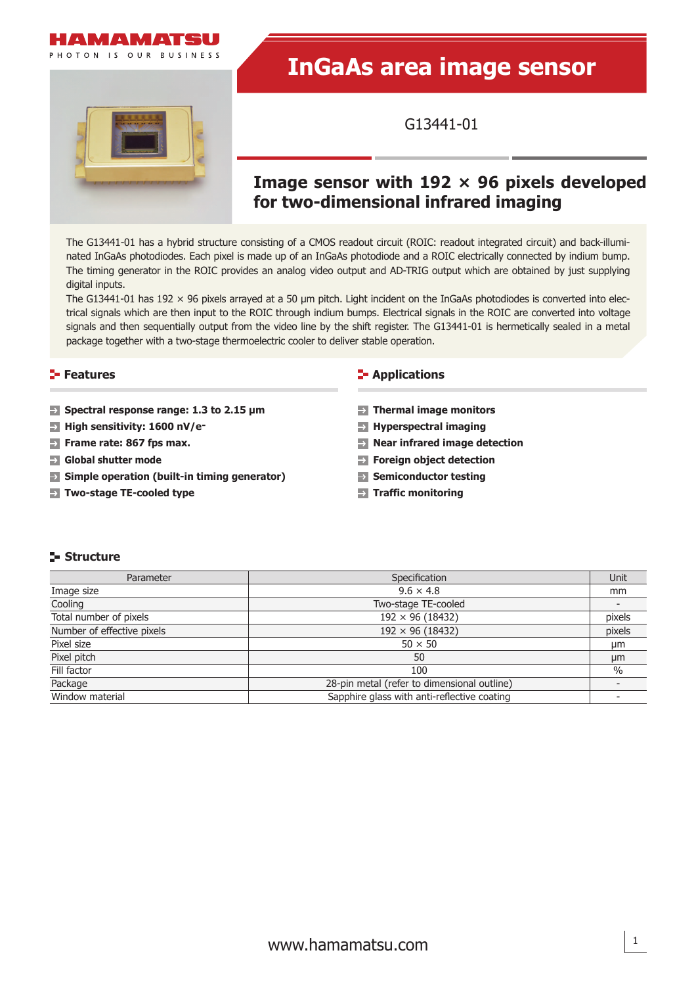

PHOTON IS OUR BUSINESS

# **InGaAs area image sensor**

G13441-01

# **Image sensor with 192 × 96 pixels developed for two-dimensional infrared imaging**

The G13441-01 has a hybrid structure consisting of a CMOS readout circuit (ROIC: readout integrated circuit) and back-illuminated InGaAs photodiodes. Each pixel is made up of an InGaAs photodiode and a ROIC electrically connected by indium bump. The timing generator in the ROIC provides an analog video output and AD-TRIG output which are obtained by just supplying digital inputs.

The G13441-01 has 192  $\times$  96 pixels arrayed at a 50 µm pitch. Light incident on the InGaAs photodiodes is converted into electrical signals which are then input to the ROIC through indium bumps. Electrical signals in the ROIC are converted into voltage signals and then sequentially output from the video line by the shift register. The G13441-01 is hermetically sealed in a metal package together with a two-stage thermoelectric cooler to deliver stable operation.

#### **Features**

- **Spectral response range: 1.3 to 2.15 μm**
- **High sensitivity: 1600 nV/e-**
- **Frame rate: 867 fps max.**
- **Global shutter mode**
- **Simple operation (built-in timing generator)**
- **Two-stage TE-cooled type**

#### **Applications**

- **Thermal image monitors**
- **Hyperspectral imaging**
- **Near infrared image detection**
- **Foreign object detection**
- **Semiconductor testing**
- **Traffic monitoring**

#### **Structure**

| Parameter                  | Specification                               | Unit   |
|----------------------------|---------------------------------------------|--------|
| Image size                 | $9.6 \times 4.8$                            | mm     |
| Cooling                    | Two-stage TE-cooled                         |        |
| Total number of pixels     | $192 \times 96 (18432)$                     | pixels |
| Number of effective pixels | $192 \times 96 (18432)$                     | pixels |
| Pixel size                 | $50 \times 50$                              | μm     |
| Pixel pitch                | 50                                          | μm     |
| Fill factor                | 100                                         | $\%$   |
| Package                    | 28-pin metal (refer to dimensional outline) |        |
| Window material            | Sapphire glass with anti-reflective coating |        |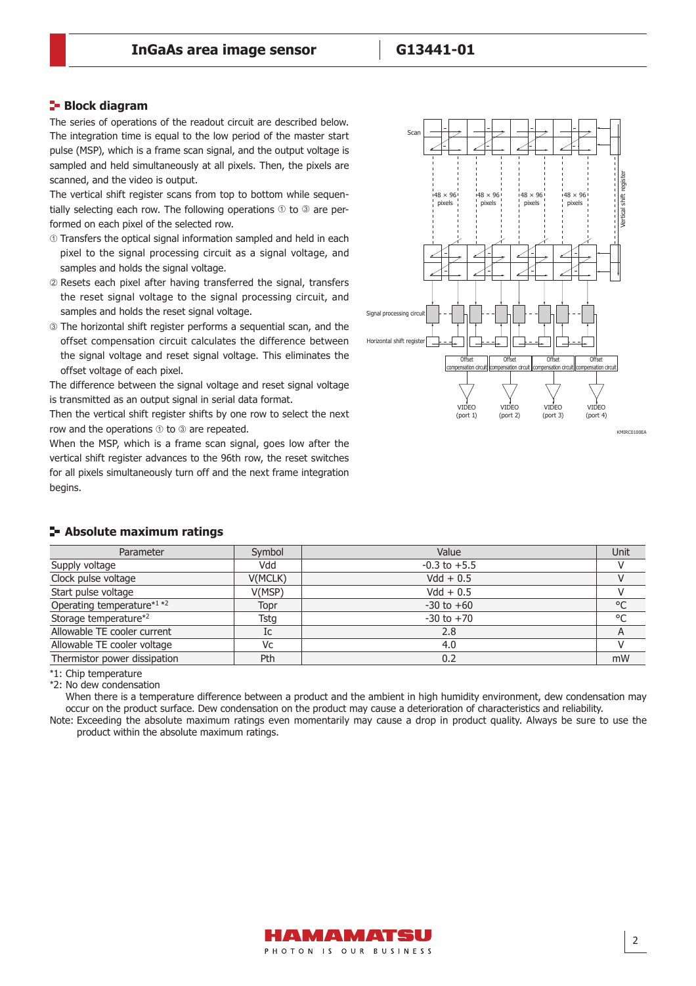#### **Block diagram**

The series of operations of the readout circuit are described below. The integration time is equal to the low period of the master start pulse (MSP), which is a frame scan signal, and the output voltage is sampled and held simultaneously at all pixels. Then, the pixels are scanned, and the video is output.

The vertical shift register scans from top to bottom while sequentially selecting each row. The following operations  $\odot$  to  $\odot$  are performed on each pixel of the selected row.

- Transfers the optical signal information sampled and held in each pixel to the signal processing circuit as a signal voltage, and samples and holds the signal voltage.
- Resets each pixel after having transferred the signal, transfers the reset signal voltage to the signal processing circuit, and samples and holds the reset signal voltage.
- The horizontal shift register performs a sequential scan, and the offset compensation circuit calculates the difference between the signal voltage and reset signal voltage. This eliminates the offset voltage of each pixel.

The difference between the signal voltage and reset signal voltage is transmitted as an output signal in serial data format.

Then the vertical shift register shifts by one row to select the next row and the operations  $\odot$  to  $\odot$  are repeated.

When the MSP, which is a frame scan signal, goes low after the vertical shift register advances to the 96th row, the reset switches for all pixels simultaneously turn off and the next frame integration begins.



KMIDC0100EA

| Parameter                    | Symbol  | Value            | <b>Unit</b> |
|------------------------------|---------|------------------|-------------|
| Supply voltage               | Vdd     | $-0.3$ to $+5.5$ |             |
| Clock pulse voltage          | V(MCLK) | $Vdd + 0.5$      |             |
| Start pulse voltage          | V(MSP)  | $Vdd + 0.5$      |             |
| Operating temperature*1 *2   | Topr    | $-30$ to $+60$   | °C          |
| Storage temperature*2        | Tsta    | $-30$ to $+70$   | °C          |
| Allowable TE cooler current  | Ic      | 2.8              |             |
| Allowable TE cooler voltage  | Vc      | 4.0              |             |
| Thermistor power dissipation | Pth     | 0.2              | mW          |

#### **Absolute maximum ratings**

\*1: Chip temperature

\*2: No dew condensation

When there is a temperature difference between a product and the ambient in high humidity environment, dew condensation may occur on the product surface. Dew condensation on the product may cause a deterioration of characteristics and reliability.

Note: Exceeding the absolute maximum ratings even momentarily may cause a drop in product quality. Always be sure to use the product within the absolute maximum ratings.

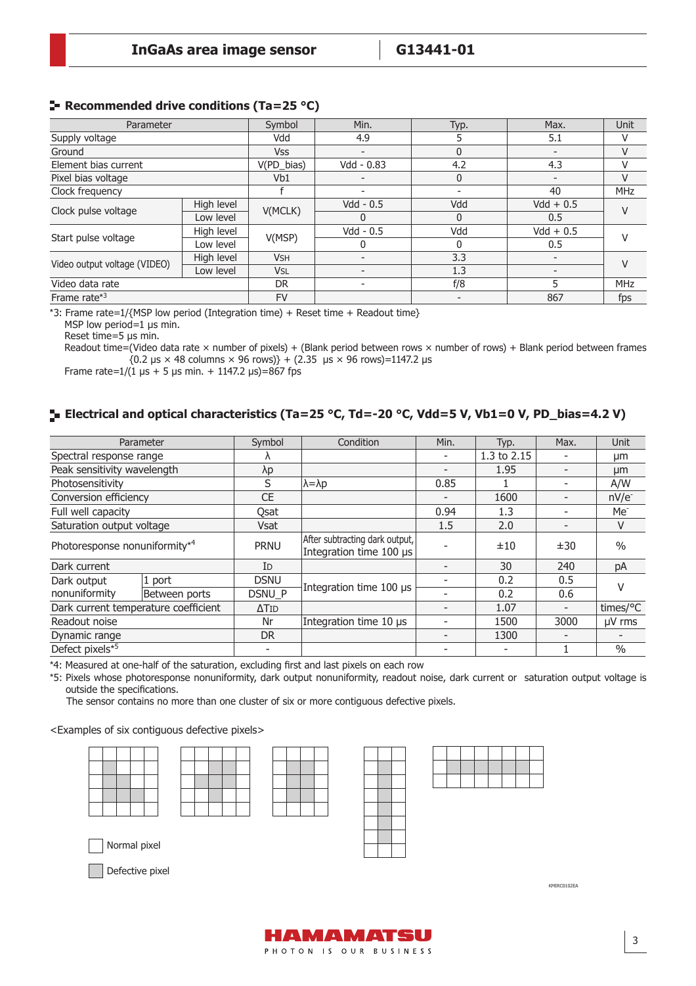#### **Recommended drive conditions (Ta=25 °C)**

| Parameter                    |            | Symbol                | Min.                     | Typ.         | Max.                     | Unit       |  |
|------------------------------|------------|-----------------------|--------------------------|--------------|--------------------------|------------|--|
| Supply voltage               |            | Vdd                   | 4.9                      |              | 5.1                      |            |  |
| Ground                       |            | <b>Vss</b>            |                          | 0            |                          | V          |  |
| Element bias current         |            | V(PD_bias)            | Vdd - 0.83               | 4.2          | 4.3                      |            |  |
| Pixel bias voltage           |            | Vb1                   | $\overline{\phantom{0}}$ | 0            | $\overline{\phantom{a}}$ | $\vee$     |  |
| Clock frequency              |            |                       |                          |              | 40                       | <b>MHz</b> |  |
|                              | High level | V(MCLK)               | $Vdd - 0.5$              | Vdd          | $Vdd + 0.5$              | $\vee$     |  |
| Clock pulse voltage          | Low level  |                       | 0                        | <sup>0</sup> | $0.5^{\circ}$            |            |  |
| Start pulse voltage          | High level |                       | $Vdd - 0.5$              | Vdd          | $Vdd + 0.5$              |            |  |
|                              | Low level  | V(MSP)                |                          |              | 0.5                      |            |  |
|                              | High level | <b>V<sub>SH</sub></b> |                          | 3.3          | $\overline{\phantom{a}}$ | $\vee$     |  |
| Video output voltage (VIDEO) | Low level  | <b>V<sub>SL</sub></b> |                          | 1.3          |                          |            |  |
| Video data rate              |            | <b>DR</b>             |                          | f/8          |                          | <b>MHz</b> |  |
| Frame rate $*3$              |            | <b>FV</b>             |                          |              | 867                      | fps        |  |

\*3: Frame rate=1/{MSP low period (Integration time) + Reset time + Readout time}

MSP low period=1 μs min.

Reset time=5 μs min.

Readout time=(Video data rate  $\times$  number of pixels) + (Blank period between rows  $\times$  number of rows) + Blank period between frames  ${0.2 \text{ μs} \times 48 \text{ columns} \times 96 \text{ rows}}} + (2.35 \text{ μs} \times 96 \text{ rows}) = 1147.2 \text{ μs}$ 

Frame rate= $1/(1 \text{ }\mu\text{s} + 5 \text{ }\mu\text{s} \text{ min.} + 1147.2 \text{ }\mu\text{s}) = 867 \text{ fs}$ 

# **Electrical and optical characteristics (Ta=25 °C, Td=-20 °C, Vdd=5 V, Vb1=0 V, PD\_bias=4.2 V)**

| Parameter                            | Symbol       | Condition                                                 | Min. | Typ.        | Max. | <b>Unit</b>     |
|--------------------------------------|--------------|-----------------------------------------------------------|------|-------------|------|-----------------|
| Spectral response range              |              |                                                           |      | 1.3 to 2.15 |      | μm              |
| Peak sensitivity wavelength          | λp           |                                                           |      | 1.95        |      | µm              |
| Photosensitivity                     | S            | $\lambda = \lambda p$                                     | 0.85 |             |      | A/W             |
| Conversion efficiency                | <b>CE</b>    |                                                           |      | 1600        |      | $nV/e^-$        |
| Full well capacity                   | Qsat         |                                                           | 0.94 | 1.3         |      | Me <sup>-</sup> |
| Saturation output voltage            | <b>Vsat</b>  |                                                           | 1.5  | 2.0         |      | V               |
| Photoresponse nonuniformity*4        | <b>PRNU</b>  | After subtracting dark output,<br>Integration time 100 µs |      | ±10         | ±30  | $\frac{0}{0}$   |
| Dark current                         | ID           |                                                           |      | 30          | 240  | pA              |
| 1 port<br>Dark output                | <b>DSNU</b>  |                                                           |      | 0.2         | 0.5  | v               |
| nonuniformity<br>Between ports       | DSNU_P       | Integration time 100 µs                                   |      | 0.2         | 0.6  |                 |
| Dark current temperature coefficient | $\Delta$ Tid |                                                           |      | 1.07        |      | times/°C        |
| Readout noise                        | Nr           | Integration time 10 µs                                    |      | 1500        | 3000 | µV rms          |
| Dynamic range                        | DR.          |                                                           |      | 1300        |      |                 |
| Defect pixels*5                      |              |                                                           |      |             |      | $\frac{0}{0}$   |

\*4: Measured at one-half of the saturation, excluding first and last pixels on each row

\*5: Pixels whose photoresponse nonuniformity, dark output nonuniformity, readout noise, dark current or saturation output voltage is outside the specifications.

The sensor contains no more than one cluster of six or more contiguous defective pixels.

<Examples of six contiguous defective pixels>



Normal pixel

Defective pixel



KMIRC0102EA

HAMAMATSU PHOTON IS OUR BUSINESS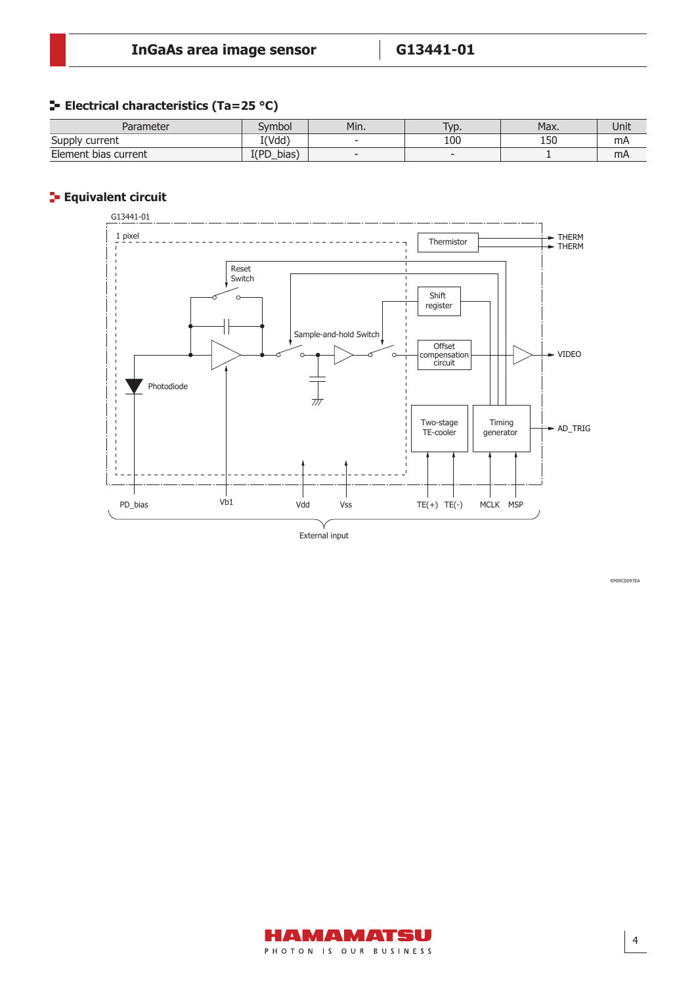# **E** Electrical characteristics (Ta=25 °C)

| Parameter                      | vmbol         | Min.   | 'yp. | Max. | Unit |
|--------------------------------|---------------|--------|------|------|------|
| Supply<br><sup>.</sup> current | I(Vdd)        | $\sim$ | 100  | 150  | mA   |
| Element bias current           | I(PD<br>bias) | $\sim$ |      |      | mA   |

# **Equivalent circuit**



External input

HAMAMATSU PHOTON IS OUR BUSINESS KMIRC0097EA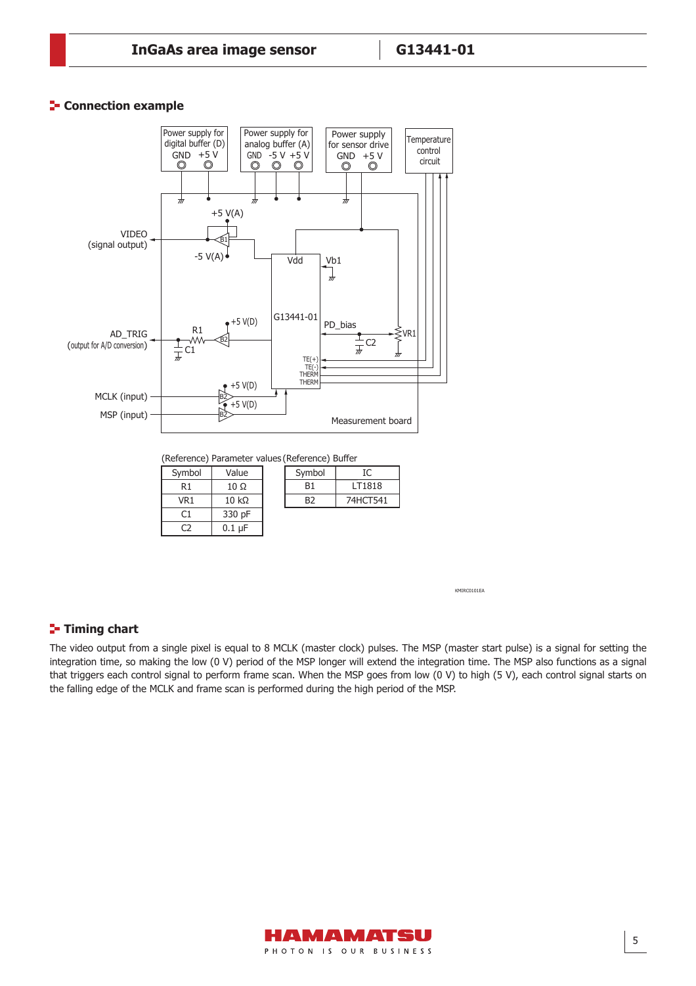#### **F** Connection example



KMIRC0101EA

### **Timing chart**

C2

0.1 μF

The video output from a single pixel is equal to 8 MCLK (master clock) pulses. The MSP (master start pulse) is a signal for setting the integration time, so making the low (0 V) period of the MSP longer will extend the integration time. The MSP also functions as a signal that triggers each control signal to perform frame scan. When the MSP goes from low (0 V) to high (5 V), each control signal starts on the falling edge of the MCLK and frame scan is performed during the high period of the MSP.

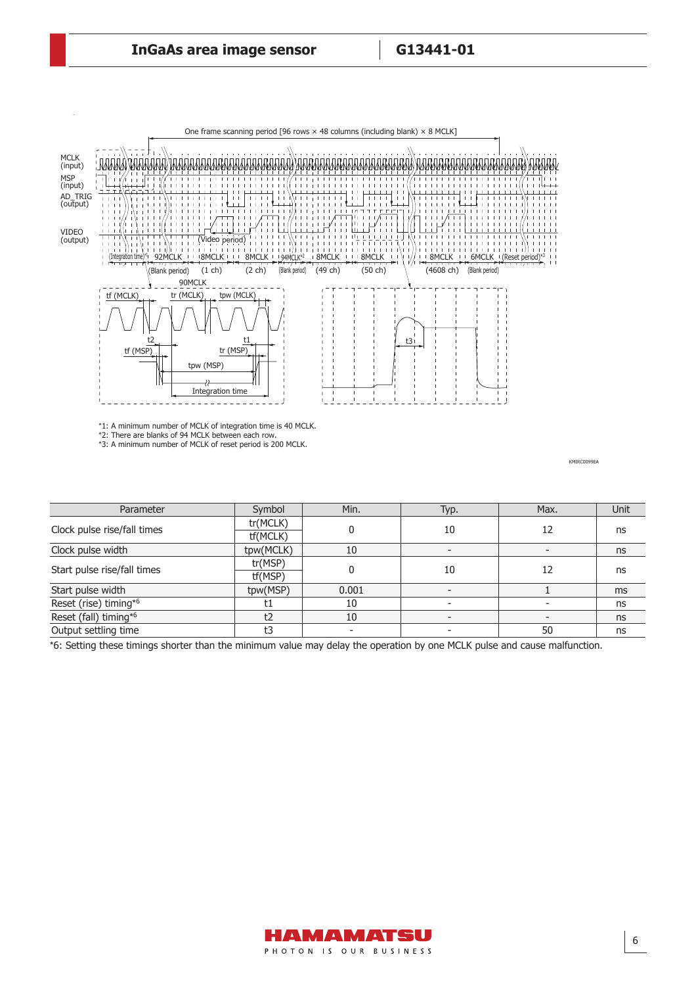$g_{\rm eff}$  ,  $g_{\rm eff}$  ,  $g_{\rm eff}$  ,  $g_{\rm eff}$  ,  $g_{\rm eff}$  ,  $g_{\rm eff}$  ,  $g_{\rm eff}$  ,  $g_{\rm eff}$  ,  $g_{\rm eff}$ 



\*1: A minimum number of MCLK of integration time is 40 MCLK. \*2: There are blanks of 94 MCLK between each row. \*3: A minimum number of MCLK of reset period is 200 MCLK.

KMIRC0099EA

| Parameter                   | Symbol    | Min.  | Typ. | Max. | Unit |
|-----------------------------|-----------|-------|------|------|------|
| Clock pulse rise/fall times | tr(MCLK)  |       | 10   | 12   | ns   |
|                             | tf(MCLK)  |       |      |      |      |
| Clock pulse width           | tpw(MCLK) | 10    |      |      | ns   |
| Start pulse rise/fall times | tr(MSP)   |       | 10   | 12   | ns   |
|                             | tf(MSP)   |       |      |      |      |
| Start pulse width           | tpw(MSP)  | 0.001 |      |      | ms   |
| Reset (rise) timing*6       |           | 10    |      |      | ns   |
| Reset (fall) timing*6       | t2        | 10    |      |      | ns   |
| Output settling time        | t3        |       |      | 50   | ns   |

\*6: Setting these timings shorter than the minimum value may delay the operation by one MCLK pulse and cause malfunction.

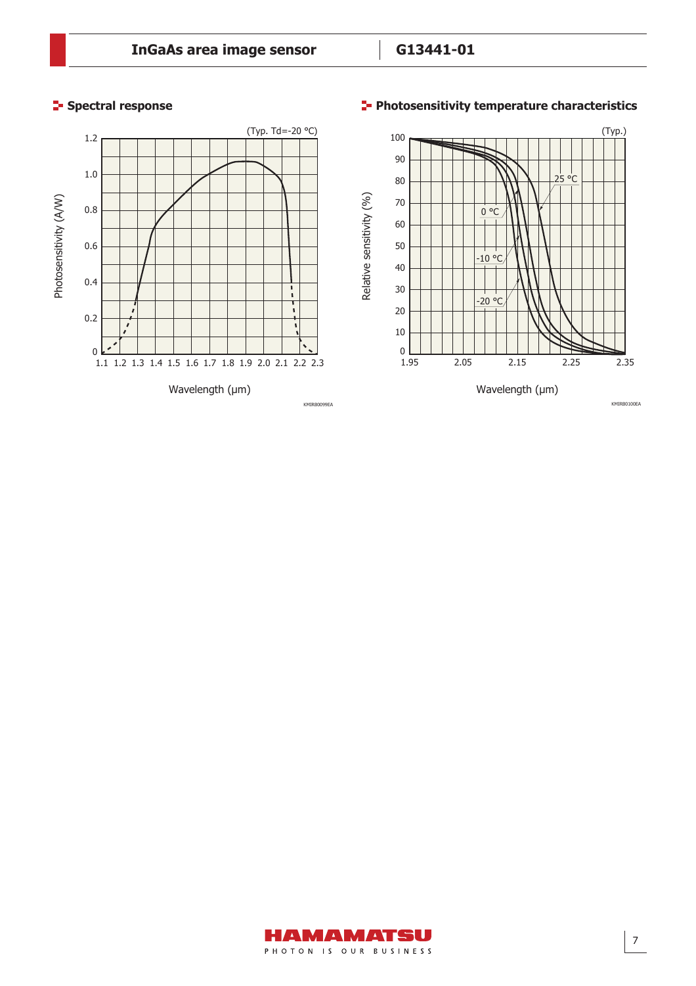# **Spectral response**

# **Photosensitivity temperature characteristics**



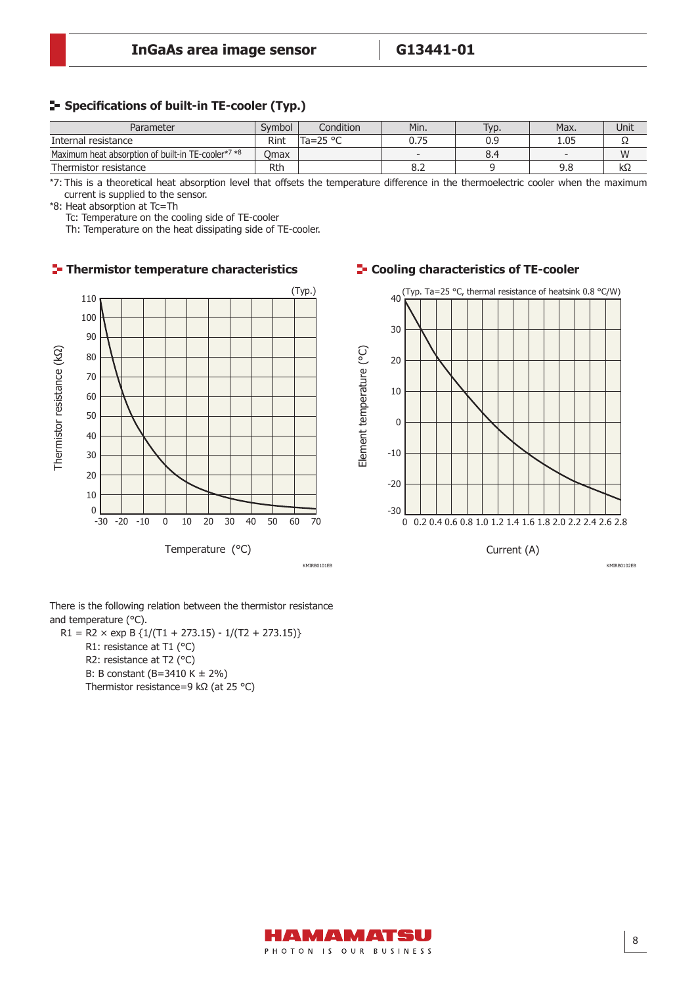#### **F** Specifications of built-in TE-cooler (Typ.)

| Parameter                                          | Symbol | Condition         | Min. | Typ. | Max. | Unit |
|----------------------------------------------------|--------|-------------------|------|------|------|------|
| Internal resistance                                | Rint   | Ta=25 $\degree$ C | 0.75 | 0.9  | L.05 |      |
| Maximum heat absorption of built-in TE-cooler*7 *8 | Omax   |                   | -    | 8.4  |      | W    |
| Thermistor resistance                              | Rth    |                   | 8.2  |      | J.O  | kΩ   |

\*7: This is a theoretical heat absorption level that offsets the temperature difference in the thermoelectric cooler when the maximum current is supplied to the sensor.

\*8: Heat absorption at Tc=Th

Tc: Temperature on the cooling side of TE-cooler

Th: Temperature on the heat dissipating side of TE-cooler.

# (Typ.) 110 100 90 Thermistor resistance (KQ) Thermistor resistance (kΩ) 80 70 60 50 40 30 20 10  $\Omega$  $-30$   $-20$   $-10$  0 10 20 30 40 50 60 70 Temperature (°C) KMIRB0101EB KMIRB0102EB

There is the following relation between the thermistor resistance and temperature (°C).

 $R1 = R2 \times exp B \{1/(T1 + 273.15) - 1/(T2 + 273.15)\}$ R1: resistance at T1 (°C) R2: resistance at T2 (°C) B: B constant (B=3410 K ± 2%) Thermistor resistance=9 kΩ (at 25 °C)

### **T**- Thermistor temperature characteristics **T-** Cooling characteristics of TE-cooler



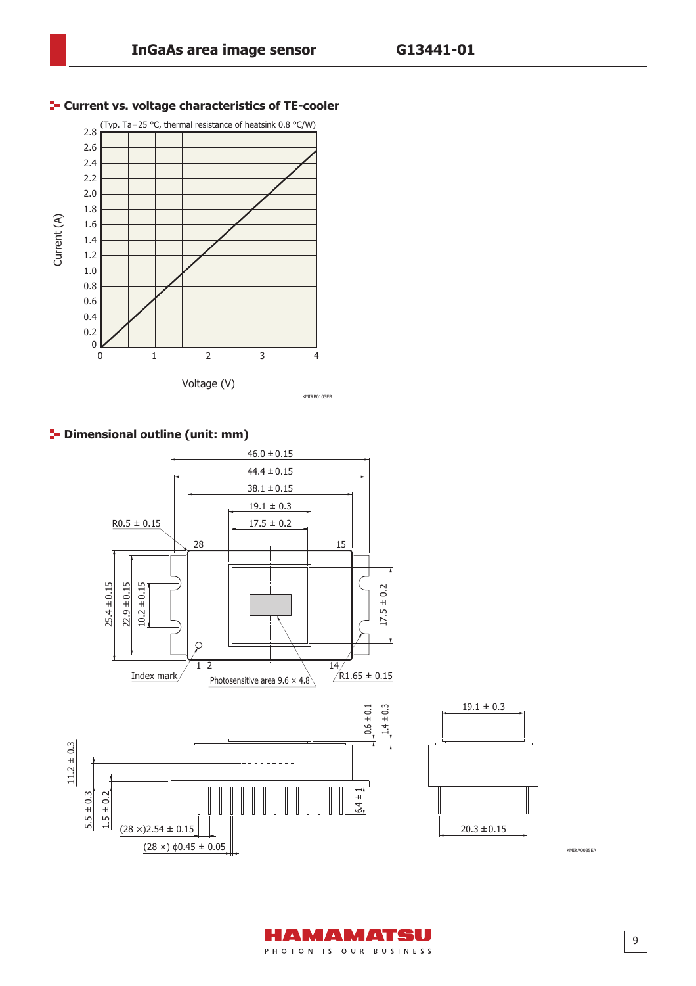

# **F-** Current vs. voltage characteristics of TE-cooler





KMIRA0035EA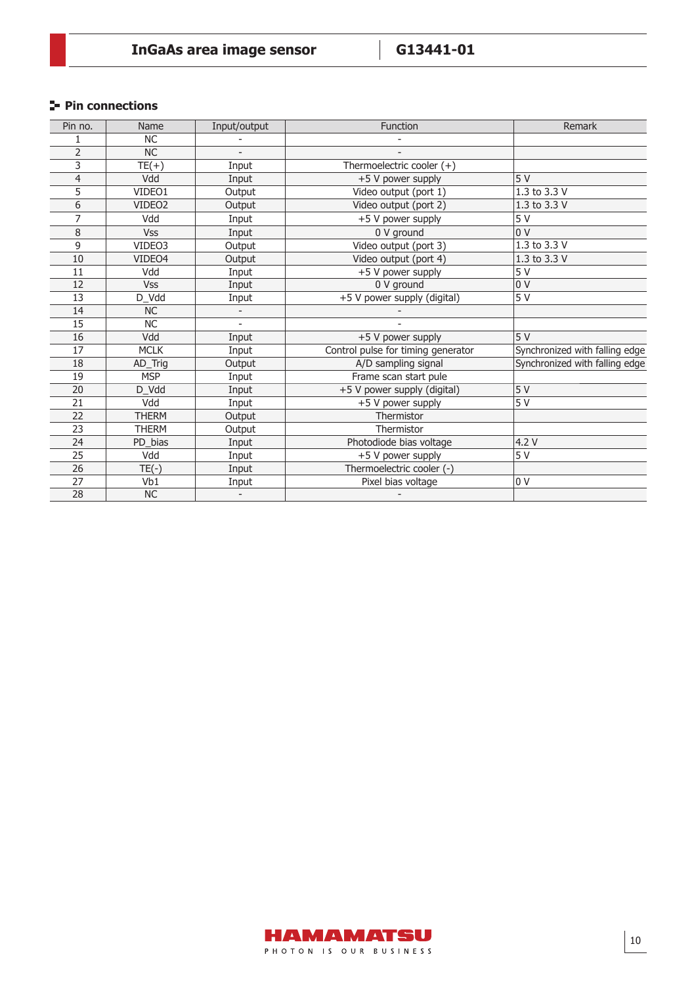# **Pin connections**

| Pin no.        | Name               | Input/output | Function                           | Remark                         |
|----------------|--------------------|--------------|------------------------------------|--------------------------------|
|                | <b>NC</b>          |              |                                    |                                |
| $\overline{2}$ | <b>NC</b>          |              |                                    |                                |
| 3              | $TE(+)$            | Input        | Thermoelectric cooler $(+)$        |                                |
| 4              | Vdd                | Input        | +5 V power supply                  | 5V                             |
| 5              | VIDEO1             | Output       | Video output (port 1)              | 1.3 to 3.3 V                   |
| 6              | VIDEO <sub>2</sub> | Output       | Video output (port 2)              | 1.3 to 3.3 V                   |
| 7              | Vdd                | Input        | +5 V power supply                  | 5 V                            |
| 8              | <b>Vss</b>         | Input        | 0 V ground                         | 0V                             |
| 9              | VIDEO3             | Output       | Video output (port 3)              | $1.3$ to 3.3 V                 |
| 10             | VIDEO4             | Output       | Video output (port 4)              | 1.3 to 3.3 V                   |
| 11             | Vdd                | Input        | +5 V power supply                  | $\overline{5V}$                |
| 12             | <b>Vss</b>         | Input        | 0 V ground                         | 0 <sub>V</sub>                 |
| 13             | D_Vdd              | Input        | +5 V power supply (digital)        | 5V                             |
| 14             | <b>NC</b>          |              |                                    |                                |
| 15             | NC                 |              |                                    |                                |
| 16             | Vdd                | Input        | +5 V power supply                  | 5V                             |
| 17             | <b>MCLK</b>        | Input        | Control pulse for timing generator | Synchronized with falling edge |
| 18             | AD_Trig            | Output       | A/D sampling signal                | Synchronized with falling edge |
| 19             | <b>MSP</b>         | Input        | Frame scan start pule              |                                |
| 20             | D_Vdd              | Input        | +5 V power supply (digital)        | 5V                             |
| 21             | Vdd                | Input        | +5 V power supply                  | 5V                             |
| 22             | <b>THERM</b>       | Output       | Thermistor                         |                                |
| 23             | <b>THERM</b>       | Output       | Thermistor                         |                                |
| 24             | PD_bias            | Input        | Photodiode bias voltage            | 4.2 V                          |
| 25             | Vdd                | Input        | +5 V power supply                  | 5 V                            |
| 26             | $TE(-)$            | Input        | Thermoelectric cooler (-)          |                                |
| 27             | Vb1                | Input        | Pixel bias voltage                 | 0 <sup>0</sup>                 |
| 28             | $\sf NC$           |              |                                    |                                |